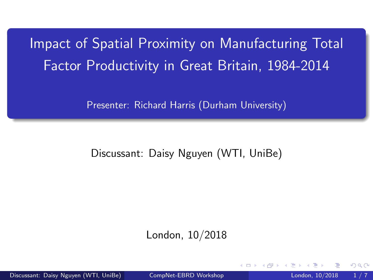# <span id="page-0-0"></span>Impact of Spatial Proximity on Manufacturing Total Factor Productivity in Great Britain, 1984-2014

Presenter: Richard Harris (Durham University)

### Discussant: Daisy Nguyen (WTI, UniBe)

London, 10/2018

Discussant: Daisy Nguyen (WTI, UniBe) [CompNet-EBRD Workshop](#page-6-0) London, 10/2018 1 / 7

 $\Omega$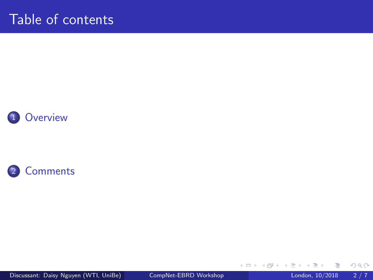### <span id="page-1-0"></span>Table of contents





Discussant: Daisy Nguyen (WTI, UniBe) [CompNet-EBRD Workshop](#page-0-0) London, 10/2018 2/7

÷.

活

**K ロ ▶ K 何 ▶** 

×

 $299$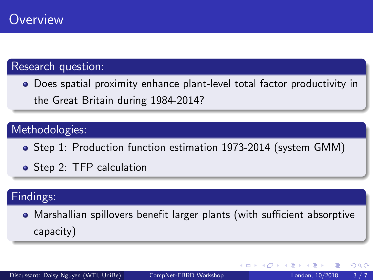### <span id="page-2-0"></span>Research question:

Does spatial proximity enhance plant-level total factor productivity in the Great Britain during 1984-2014?

### Methodologies:

- Step 1: Production function estimation 1973-2014 (system GMM)
- Step 2: TFP calculation

### Findings:

Marshallian spillovers benefit larger plants (with sufficient absorptive capacity)

4 D F

 $299$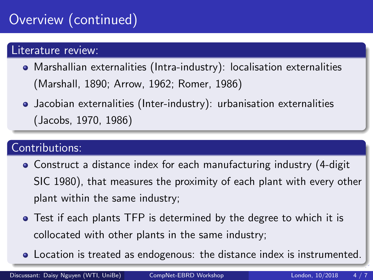# <span id="page-3-0"></span>Overview (continued)

### Literature review:

- Marshallian externalities (Intra-industry): localisation externalities (Marshall, 1890; Arrow, 1962; Romer, 1986)
- Jacobian externalities (Inter-industry): urbanisation externalities (Jacobs, 1970, 1986)

### Contributions:

- Construct a distance index for each manufacturing industry (4-digit SIC 1980), that measures the proximity of each plant with every other plant within the same industry;
- Test if each plants TFP is determined by the degree to which it is collocated with other plants in the same industry;
- Location is treated as endogenous: the dist[an](#page-2-0)c[e](#page-4-0) [in](#page-2-0)[d](#page-3-0)[ex](#page-4-0)[is](#page-2-0) [in](#page-6-0)[s](#page-1-0)[t](#page-2-0)[ru](#page-6-0)[me](#page-0-0)[nte](#page-6-0)d.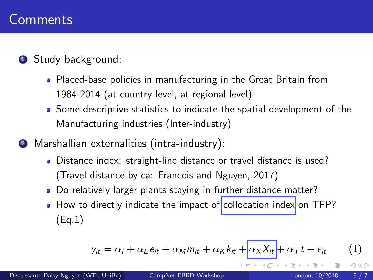### <span id="page-4-0"></span>**1** Study background:

- Placed-base policies in manufacturing in the Great Britain from 1984-2014 (at country level, at regional level)
- Some descriptive statistics to indicate the spatial development of the Manufacturing industries (Inter-industry)
- <sup>2</sup> Marshallian externalities (intra-industry):
	- Distance index: straight-line distance or travel distance is used? (Travel distance by ca: Francois and Nguyen, 2017)
	- Do relatively larger plants staying in further distance matter?
	- How to directly indicate the impact of collocation index on TFP? (Eq.1)

$$
y_{it} = \alpha_i + \alpha_E e_{it} + \alpha_M m_{it} + \alpha_K k_{it} + \alpha_X X_{it} + \alpha_T t + \epsilon_{it}
$$
 (1)

 $\Omega$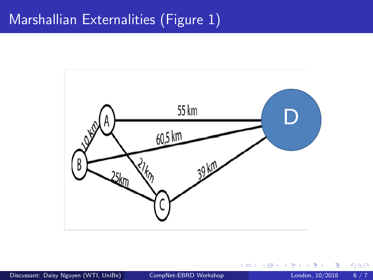## Marshallian Externalities (Figure 1)



Discussant: Daisy Nguyen (WTI, UniBe) [CompNet-EBRD Workshop](#page-0-0) London, 10/2018 6 / 7

4 0 8

 $299$